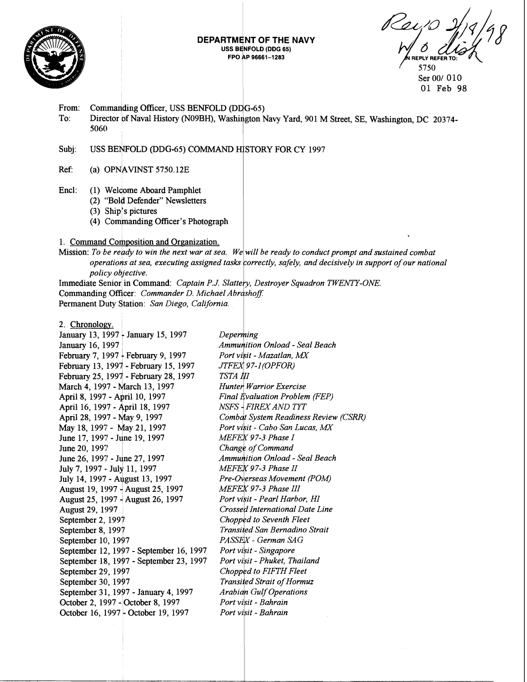

### DEPARTMENT OF THE NAVY USS BENFOLD (DDG 65) FPO AP 96661-1283

**FPIY REFER** 5750

Ser 00/ 010 01 Feb 98

- From: Commanding Officer, USS BENFOLD (DDG-65)
- To: Director of Naval History (N09BH), Washington Navy Yard, 901 M Street, SE, Washington, DC 20374-5060

# Subj: USS BENFOLD (DDG-65) COMMAND HISTORY FOR CY 1997

- $Ref:$  (a) OPNAVINST 5750.12E
- Encl: (1) Welcome Aboard Pamphlet
	- (2) "Bold Defender" Newsletters
	- $(3)$  Ship's pictures
	- (4) Commanding Officer's Photograph

# 1. Command Composition and Organization.

Mission: To be ready to win the next war at sea. We will be ready to conduct prompt and sustained combat operations at sea, executing assigned tasks correctly, safely, and decisively in support of our national *policy objective.* 

Immediate Senior in Command: *Captain P.J. Slattery, Destroyer Squadron TWENTY-ONE.* Commanding Officer: *Commander D. Michael Abrashoff.* Permanent Duty Station: San Diego, California.

### 2. Chronology.

January 13, 1997 - January 15, 1997 January 16, 1997 February 7, 1997 - February 9, 1997 February 13, 1997 - February 15, 1997 February 25, 1997 - February 28, 1997 March 4, 1997 - March 13, 1997 April 8, 1997 - April 10, 1997 April 16, 1997 - April 18, 1997 April 28, 1997 - May 9, 1997 May 18, 1997 - May 21, 1997 June 17, 1997 - June 19, 1997 June 20, 1997 June 26, 1997 - June 27, 1997 July 7, 1997 - July 11, 1997 July 14, 1997 - August 13, 1997 luly 14, 1997 - August 13, 1997<br>August 19, 1997 - August 25, 1997<br>August 25, 1997 - August 26, 1997 August 29, 1997 August 25, 1997 4 August 26, 1997 September 2, 1997 September 8, 1997 September 10, 1997 September 12, 1997 - September 16, 1997 September 18, 1997 - September 23, 1997 September 29, 1997 September 30, 1997 September 31, 1997 - January 4, 1997 October 2, 1997 - October 8, 1997 October 16, 1997 - October 19, 1997

Deperming **Ammunition Onload - Seal Beach** Port visit - Mazatlan, MX JTFEX 97-1(OPFOR) TSTA NI Hunter Warrior Exercise Final Evaluation Problem (FEP) NSFS - FIREX AND TYT Combat System Readiness Review (CSRR) *Port visit - Cabo San Lucas, MX* MEFEX 97-3 Phase I Change of Command Ammunition Onload - Seal Beach MEFEX 97-3 Phase II Pre-Overseas Movement (POM) MEFEX 97-3 Phase III Port visit - Pearl Harbor, HI Crossed International Date Line Chopped to Seventh Fleet Transited San Bernadino Strait PASSEX - German SAG Port visit - Singapore Port visit - Phuket, Thailand Chopped to FIFTH Fleet **Transited Strait of Hormuz Arabian Gulf Operations** Port visit - Bahrain Port visit - Bahrain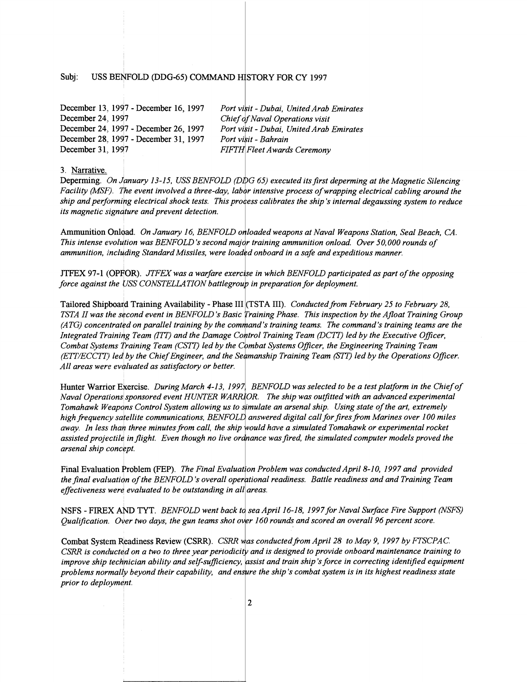# Subj: USS BENFOLD (DDG-65) COMMAND HISTORY FOR CY 1997

| December 13, 1997 - December 16, 1997 | Port visit - Dubai, United Arab Emirates |
|---------------------------------------|------------------------------------------|
| December 24, 1997                     | Chief of Naval Operations visit          |
| December 24, 1997 - December 26, 1997 | Port visit - Dubai, United Arab Emirates |
| December 28, 1997 - December 31, 1997 | Port visit - Bahrain                     |
| December 31, 1997                     | <b>FIFTH Fleet Awards Ceremony</b>       |

**3. Narrative.** 

13-15, USS BENFOLD (DDG 65) executed its first deperming at the Magnetic Silencing involved a three-day, labor intensive process of wrapping electrical cabling around the *shock tests. This prc a calibrates the ship's internal degaussing system to reduce*  its magnetic signature and prevent detection.

Ammunition Onload. *On January 16, BENFOLD onloaded weapons at Naval Weapons Station, Seal Beach, CA. This intense evolution was BENFOLD's second major training ammunition onload. Over 50,000 rounds of* ammunition, including Standard Missiles, were loaded onboard in a safe and expeditious manner.

ITFEX 97-1 (OPFOR). *JTFEX was a warfare exercise in which BENFOLD participated as part of the opposing force 37-1 (OPFOR). JTFEX was a warfare exercise in which BENFOLD participal*<br>*force against the USS CONSTELLATION battlegroup in preparation for deployment.* 

Tailored Shipboard Training Availability - Phase III (TSTA III). *Conducted from February 25 to February 28*, TSTA II was the second event in BENFOLD's Basic Training Phase. This inspection by the Afloat Training Group (ATG) concentrated on parallel training by the command's training teams. The command's training teams are the *(ATG) concentrated on parallel training by the command's training teams. The command's training teams are<br>Integrated Training Team (ITT) and the Damage Control Training Team (DCTT) led by the Executive Officer,* Combat Systems Training Team (CSTT) led by the Combat Systems Officer, the Engineering Training Team (ETT/ECCTT) led by the Chief Engineer, and the Seamanship Training Team (STT) led by the Operations Officer.  $\,$ All areas were evaluated as satisfactory or better.

Hunter Warrior Exercise. During March 4-13, 1997, BENFOLD was selected to be a test platform in the Chief of  $N$ aval Operations sponsored event HUNTER WARRIOR. The ship was outfitted with an advanced experimental Tomahawk Weapons Control System allowing us to simulate an arsenal ship. Using state of the art, extremely high frequency satellite communications, BENFOLD answered digital call for fires from Marines over 100 miles away. In less than three minutes from call, the ship would have a simulated Tomahawk or experimental rocket assisted projectile in flight. Even though no live ordnance was fired, the simulated computer models proved the  $arsenal ship concept.$ 

*The Final Evalu~*  **<sup>1</sup>***Problem was conducted April 8-10, 1997 and provided*  of the BENFOLD's overall operational readiness. Battle readiness and and Training Team *to be outstanding in all areas.* 

NSFS - FIREX AND TYT. *BENFOLD went back to sea April 16-18, 1997 for Naval Surface Fire Support (NSFS) Qualflcation. wer two days, the gun teams shot* **<sup>c</sup>** *160 rounds and scored an overall 96 percent score.* 

adiness Review (CSRR). *CSRR was conducted from April 28 to May 9, 1997 by FTSCPAC. on a two to three year periodic ind is designed to provide onboard maintenance training to*  ability and self-sufficiency, *assist and train ship's force in correcting identified equipment* their capability, and ensure the ship's combat system is in its highest readiness state prior to deployment.

 $\overline{2}$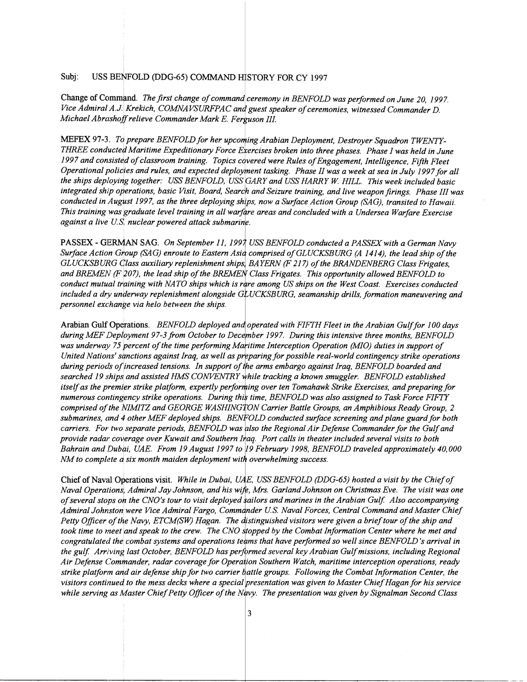#### Subj: USS BENFOLD (DDG-65) COMMAND HISTORY FOR CY 1997

Change of Command. The first change of command ceremony in BENFOLD was performed on June 20, 1997. Vice Admiral A.J. Krekich, COMNAVSURFPAC and guest speaker of ceremonies, witnessed Commander D. Michael Abrashoff relieve Commander Mark E. Ferguson III.

MEFEX 97-3. To prepare BENFOLD for her upcoming Arabian Deployment, Destroyer Squadron TWENTY-THREE conducted Maritime Expeditionary Force Exercises broken into three phases. Phase I was held in June 1997 and consisted of classroom training. Topics covered were Rules of Engagement, Intelligence, Fifth Fleet Operational policies and rules, and expected deployment tasking. Phase II was a week at sea in July 1997 for all the ships deploying together: USS BENFOLD, USS GARY and USS HARRY W. HILL. This week included basic integrated ship operations, basic Visit, Board, Search and Seizure training, and live weapon firings. Phase III was conducted in August 1997, as the three deploying ships, now a Surface Action Group (SAG), transited to Hawaii. This training was graduate level training in all warfare areas and concluded with a Undersea Warfare Exercise against a live U.S. nuclear powered attack submaring.

PASSEX - GERMAN SAG. On September 11, 1997 USS BENFOLD conducted a PASSEX with a German Navy Surface Action Group (SAG) enroute to Eastern Asia comprised of GLUCKSBURG (A 1414), the lead ship of the GLUCKSBURG Class auxiliary replenishment ships, BAYERN (F 217) of the BRANDENBERG Class Frigates, and BREMEN (F 207), the lead ship of the BREMEN Class Frigates. This opportunity allowed BENFOLD to conduct mutual training with NATO ships which is rare among US ships on the West Coast. Exercises conducted included a dry underway replenishment alongside GLUCKSBURG, seamanship drills, formation maneuvering and personnel exchange via helo between the ships.

Arabian Gulf Operations. BENFOLD deployed and operated with FIFTH Fleet in the Arabian Gulf for 100 days during MEF Deployment 97-3 from October to December 1997. During this intensive three months, BENFOLD was underway 75 percent of the time performing Maritime Interception Operation (MIO) duties in support of United Nations' sanctions against Iraq, as well as preparing for possible real-world contingency strike operations during periods of increased tensions. In support of the arms embargo against Iraq, BENFOLD boarded and searched 19 ships and assisted HMS CONVENTRY while tracking a known smuggler. BENFOLD established itself as the premier strike platform, expertly performing over ten Tomahawk Strike Exercises, and preparing for numerous contingency strike operations. During this time, BENFOLD was also assigned to Task Force FIFTY comprised of the NIMITZ and GEORGE WASHINGTON Carrier Battle Groups, an Amphibious Ready Group, 2 submarines, and 4 other MEF deployed ships. BENFOLD conducted surface screening and plane guard for both carriers. For two separate periods, BENFOLD was also the Regional Air Defense Commander for the Gulf and provide radar coverage over Kuwait and Southern Inaq. Port calls in theater included several visits to both Bahrain and Dubai, UAE. From 19 August 1997 to 19 February 1998, BENFOLD traveled approximately 40,000 NM to complete a six month maiden deployment with overwhelming success.

Chief of Naval Operations visit. While in Dubai, UAE, USS BENFOLD (DDG-65) hosted a visit by the Chief of Naval Operations, Admiral Jay Johnson, and his wife, Mrs. Garland Johnson on Christmas Eve. The visit was one of several stops on the CNO's tour to visit deployed sailors and marines in the Arabian Gulf. Also accompanying Admiral Johnston were Vice Admiral Fargo, Commander U.S. Naval Forces, Central Command and Master Chief Petty Officer of the Navy, ETCM(SW) Hagan. The distinguished visitors were given a brief tour of the ship and took time to meet and speak to the crew. The CNO stopped by the Combat Information Center where he met and congratulated the combat systems and operations teams that have performed so well since BENFOLD's arrival in the gulf. Arriving last October, BENFOLD has performed several key Arabian Gulf missions, including Regional Air Defense Commander, radar coverage for Operation Southern Watch, maritime interception operations, ready strike platform and air defense ship for two carrier battle groups. Following the Combat Information Center, the visitors continued to the mess decks where a special presentation was given to Master Chief Hagan for his service while serving as Master Chief Petty Officer of the Navy. The presentation was given by Signalman Second Class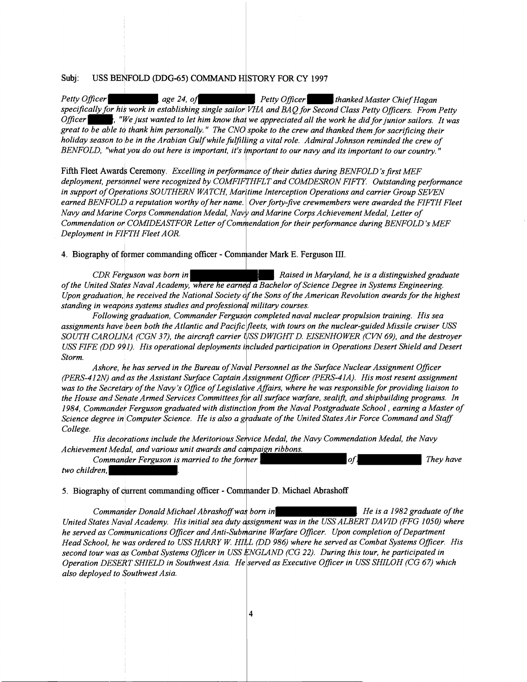# Subj: USS BENFOLD (DDG-65) COMMAND HISTORY FOR CY 1997

Petty Officer **1988**, age 24, of . Petty Officer **hanked Master Chief Hagan** *specifically for his work in establishing single sailor VHA and BAQ for Second Class Petty Officers. From Petty Officer*  $\cdot$ , "We just wanted to let him know that we appreciated all the work he did for junior sailors. It was great to be able to thank him personally." The CNO spoke to the crew and thanked them for sacrificing their *holiday season to be in the Arabian Gulfwhile ing a vital role. Admiral Johnson reminded the crew of BENFOLD, "what you do out here is important, it's important to our navy and its important to our country."* 

Fifth Fleet Awards Ceremony. *Excelling in performance of their duties during BENFOLD's first MEF* deployment, personnel were recognized by COMFIFTHFLT and COMDESRON FIFTY. Outstanding performance in support of Operations SOUTHERN WATCH, Maritime Interception Operations and carrier Group SEVEN earned BENFOLD a reputation worthy of her name. Over forty-five crewmembers were awarded the FIFTH Fleet *Navy and Marine Corps Commendation Medal, Navy and Marine Corps Achievement Medal, Letter of Commendation or COMIDEASTFOR Letter of Commendation for their performance during BENFOLD's MEF Deployment in FI~H Fleet AOR.* 

### 4. Biography of former commanding officer - Commander Mark E. Ferguson III.

*CDh! Fe uson was born in* . *Raised in Maryland, he is a distinguished graduate*  of the United States Naval Academy, where he earned a Bachelor of Science Degree in Systems Engineering. *Upon graduation, he received the National Society of the Sons of the American Revolution awards for the highest* standing in weapons systems studies and professional military courses.

Following graduation, Commander Ferguson completed naval nuclear propulsion training. His sea assignments have been both the Atlantic and Pacific fleets, with tours on the nuclear-guided Missile cruiser USS *SOUTH CAROLINA (CGN 37), the aircraft carrier USS DWIGHT D. EISENHOWER (CVN 69), and the destroyer* USS FIFE (DD 991). His operational deployments included participation in Operations Desert Shield and Desert *Storm.* 

Ashore, he has served in the Bureau of Naval Personnel as the Surface Nuclear Assignment Officer *(PERS-412N) and as the Assistant Surface Captain Assignment Officer (PERS-41A). His most resent assignment* was to the Secretary of the Navy's Office of Legislative Affairs, where he was responsible for providing liaison to the House and Senate Armed Services Committees for all surface warfare, sealift, and shipbuilding programs. In 1984, Commander Ferguson graduated with distinction from the Naval Postgraduate School, earning a Master of *Science degree in Computer Science. He is also a graduate of the United States Air Force Command and Staff College.* 

His decorations include the Meritorious Service Medal, the Navy Commendation Medal, the Navy Achievement Medal, and various unit awards and campaign ribbons.

| Commander Ferguson is married to the former' | .ot | They have |
|----------------------------------------------|-----|-----------|
| two children.                                |     |           |

### **5. Biography of current commanding officer - Commander D. Michael Abrashoff**

*Commander Donald Michael in . He is a 1982 graduate of the*  United States Naval Academy. His initial sea duty assignment was in the USS ALBERT DAVID (FFG 1050) where *he served as Communications Officer and Anti-Submarine Warfare Officer. Upon completion of Department* Head School, he was ordered to USS HARRY W. HILL (DD 986) where he served as Combat Systems Officer. His second tour was as Combat Systems Officer in USS ENGLAND (CG 22). During this tour, he participated in Operation DESERT SHIELD in Southwest Asia. He served as Executive Officer in USS SHILOH (CG 67) which *also deployed to Southwest Asia.*